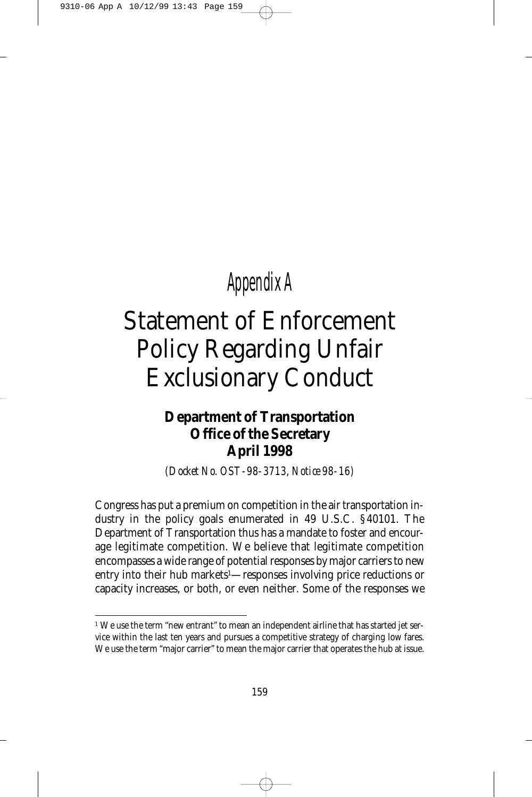### **ApendxA**

## Statement of Enforcement Policy Regarding Unfair Exclusionary Conduct

### **Department of Transportation Office of the Secretary April 1998**

*(Docket No. OST-98-3713, Notice 98-16)*

Congress has put a premium on competition in the air transportation industry in the policy goals enumerated in 49 U.S.C. §40101. The Department of Transportation thus has a mandate to foster and encourage legitimate competition. We believe that legitimate competition encompasses a wide range of potential responses by major carriers to new entry into their hub markets<sup>1</sup>—responses involving price reductions or capacity increases, or both, or even neither. Some of the responses we

<sup>&</sup>lt;sup>1</sup> We use the term "new entrant" to mean an independent airline that has started jet service within the last ten years and pursues a competitive strategy of charging low fares. We use the term "major carrier" to mean the major carrier that operates the hub at issue.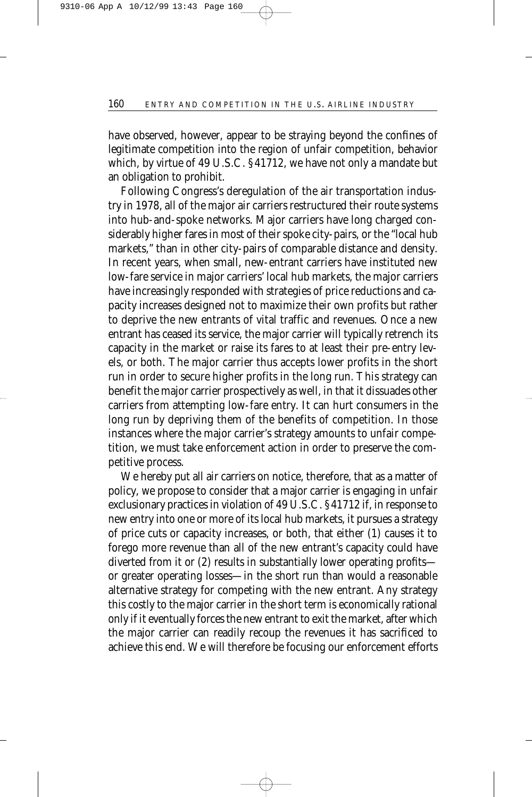have observed, however, appear to be straying beyond the confines of legitimate competition into the region of unfair competition, behavior which, by virtue of 49 U.S.C. §41712, we have not only a mandate but an obligation to prohibit.

Following Congress's deregulation of the air transportation industry in 1978, all of the major air carriers restructured their route systems into hub-and-spoke networks. Major carriers have long charged considerably higher fares in most of their spoke city-pairs, or the "local hub markets," than in other city-pairs of comparable distance and density. In recent years, when small, new-entrant carriers have instituted new low-fare service in major carriers' local hub markets, the major carriers have increasingly responded with strategies of price reductions and capacity increases designed not to maximize their own profits but rather to deprive the new entrants of vital traffic and revenues. Once a new entrant has ceased its service, the major carrier will typically retrench its capacity in the market or raise its fares to at least their pre-entry levels, or both. The major carrier thus accepts lower profits in the short run in order to secure higher profits in the long run. This strategy can benefit the major carrier prospectively as well, in that it dissuades other carriers from attempting low-fare entry. It can hurt consumers in the long run by depriving them of the benefits of competition. In those instances where the major carrier's strategy amounts to unfair competition, we must take enforcement action in order to preserve the competitive process.

We hereby put all air carriers on notice, therefore, that as a matter of policy, we propose to consider that a major carrier is engaging in unfair exclusionary practices in violation of 49 U.S.C. §41712 if, in response to new entry into one or more of its local hub markets, it pursues a strategy of price cuts or capacity increases, or both, that either (1) causes it to forego more revenue than all of the new entrant's capacity could have diverted from it or (2) results in substantially lower operating profits or greater operating losses—in the short run than would a reasonable alternative strategy for competing with the new entrant. Any strategy this costly to the major carrier in the short term is economically rational only if it eventually forces the new entrant to exit the market, after which the major carrier can readily recoup the revenues it has sacrificed to achieve this end. We will therefore be focusing our enforcement efforts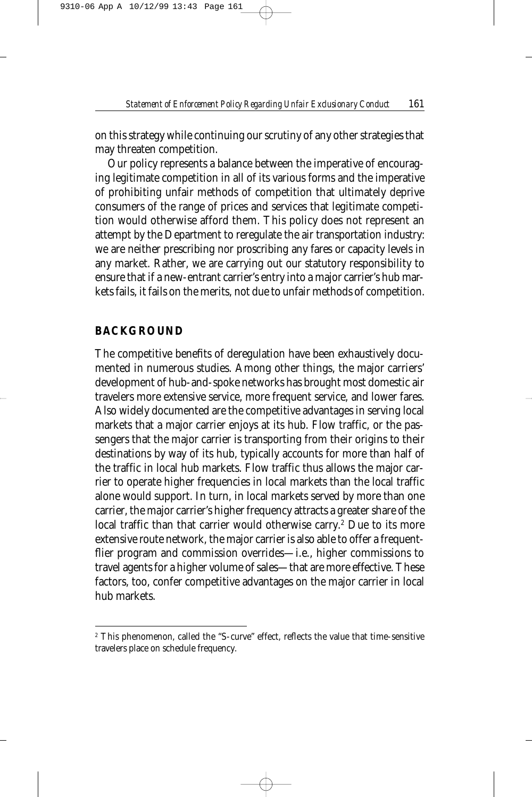on this strategy while continuing our scrutiny of any other strategies that may threaten competition.

Our policy represents a balance between the imperative of encouraging legitimate competition in all of its various forms and the imperative of prohibiting unfair methods of competition that ultimately deprive consumers of the range of prices and services that legitimate competition would otherwise afford them. This policy does not represent an attempt by the Department to reregulate the air transportation industry: we are neither prescribing nor proscribing any fares or capacity levels in any market. Rather, we are carrying out our statutory responsibility to ensure that if a new-entrant carrier's entry into a major carrier's hub markets fails, it fails on the merits, not due to unfair methods of competition.

#### **BACKGROUND**

The competitive benefits of deregulation have been exhaustively documented in numerous studies. Among other things, the major carriers' development of hub-and-spoke networks has brought most domestic air travelers more extensive service, more frequent service, and lower fares. Also widely documented are the competitive advantages in serving local markets that a major carrier enjoys at its hub. Flow traffic, or the passengers that the major carrier is transporting from their origins to their destinations by way of its hub, typically accounts for more than half of the traffic in local hub markets. Flow traffic thus allows the major carrier to operate higher frequencies in local markets than the local traffic alone would support. In turn, in local markets served by more than one carrier, the major carrier's higher frequency attracts a greater share of the local traffic than that carrier would otherwise carry.<sup>2</sup> Due to its more extensive route network, the major carrier is also able to offer a frequentflier program and commission overrides—i.e., higher commissions to travel agents for a higher volume of sales—that are more effective. These factors, too, confer competitive advantages on the major carrier in local hub markets.

<sup>2</sup> This phenomenon, called the "S-curve" effect, reflects the value that time-sensitive travelers place on schedule frequency.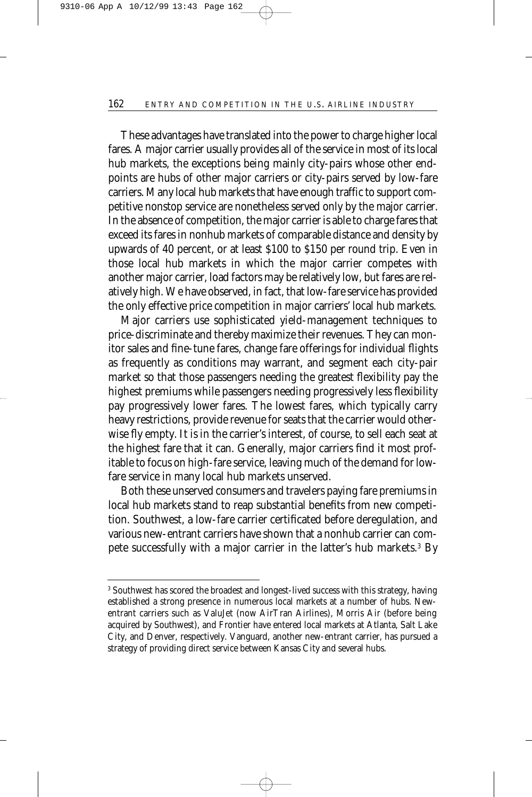These advantages have translated into the power to charge higher local fares. A major carrier usually provides all of the service in most of its local hub markets, the exceptions being mainly city-pairs whose other endpoints are hubs of other major carriers or city-pairs served by low-fare carriers. Many local hub markets that have enough traffic to support competitive nonstop service are nonetheless served only by the major carrier. In the absence of competition, the major carrier is able to charge fares that exceed its fares in nonhub markets of comparable distance and density by upwards of 40 percent, or at least \$100 to \$150 per round trip. Even in those local hub markets in which the major carrier competes with another major carrier, load factors may be relatively low, but fares are relatively high. We have observed, in fact, that low-fare service has provided the only effective price competition in major carriers' local hub markets.

Major carriers use sophisticated yield-management techniques to price-discriminate and thereby maximize their revenues. They can monitor sales and fine-tune fares, change fare offerings for individual flights as frequently as conditions may warrant, and segment each city-pair market so that those passengers needing the greatest flexibility pay the highest premiums while passengers needing progressively less flexibility pay progressively lower fares. The lowest fares, which typically carry heavy restrictions, provide revenue for seats that the carrier would otherwise fly empty. It is in the carrier's interest, of course, to sell each seat at the highest fare that it can. Generally, major carriers find it most profitable to focus on high-fare service, leaving much of the demand for lowfare service in many local hub markets unserved.

Both these unserved consumers and travelers paying fare premiums in local hub markets stand to reap substantial benefits from new competition. Southwest, a low-fare carrier certificated before deregulation, and various new-entrant carriers have shown that a nonhub carrier can compete successfully with a major carrier in the latter's hub markets.3 By

<sup>&</sup>lt;sup>3</sup> Southwest has scored the broadest and longest-lived success with this strategy, having established a strong presence in numerous local markets at a number of hubs. Newentrant carriers such as ValuJet (now AirTran Airlines), Morris Air (before being acquired by Southwest), and Frontier have entered local markets at Atlanta, Salt Lake City, and Denver, respectively. Vanguard, another new-entrant carrier, has pursued a strategy of providing direct service between Kansas City and several hubs.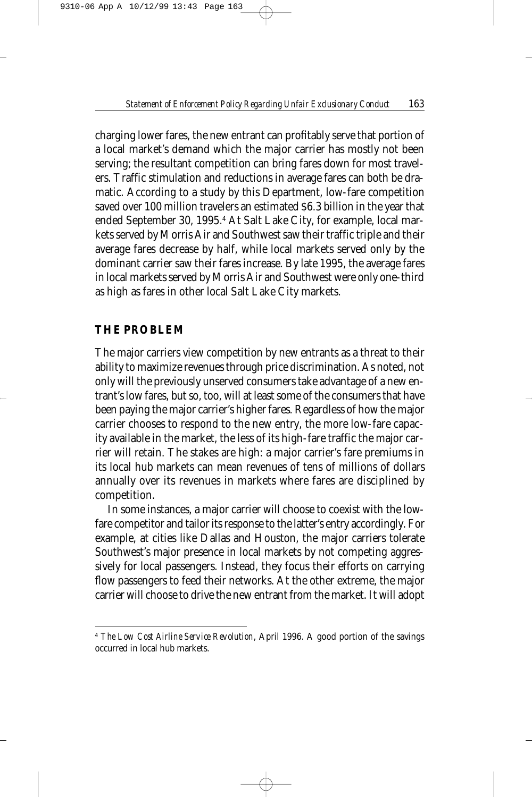*Statement of Enforcement Policy Regarding Unfair Exclusionary Conduct* 163

charging lower fares, the new entrant can profitably serve that portion of a local market's demand which the major carrier has mostly not been serving; the resultant competition can bring fares down for most travelers. Traffic stimulation and reductions in average fares can both be dramatic. According to a study by this Department, low-fare competition saved over 100 million travelers an estimated \$6.3 billion in the year that ended September 30, 1995.4 At Salt Lake City, for example, local markets served by Morris Air and Southwest saw their traffic triple and their average fares decrease by half, while local markets served only by the dominant carrier saw their fares increase. By late 1995, the average fares in local markets served by Morris Air and Southwest were only one-third as high as fares in other local Salt Lake City markets.

#### **THE PROBLEM**

The major carriers view competition by new entrants as a threat to their ability to maximize revenues through price discrimination. As noted, not only will the previously unserved consumers take advantage of a new entrant's low fares, but so, too, will at least some of the consumers that have been paying the major carrier's higher fares. Regardless of how the major carrier chooses to respond to the new entry, the more low-fare capacity available in the market, the less of its high-fare traffic the major carrier will retain. The stakes are high: a major carrier's fare premiums in its local hub markets can mean revenues of tens of millions of dollars annually over its revenues in markets where fares are disciplined by competition.

In some instances, a major carrier will choose to coexist with the lowfare competitor and tailor its response to the latter's entry accordingly. For example, at cities like Dallas and Houston, the major carriers tolerate Southwest's major presence in local markets by not competing aggressively for local passengers. Instead, they focus their efforts on carrying flow passengers to feed their networks. At the other extreme, the major carrier will choose to drive the new entrant from the market. It will adopt

<sup>4</sup> *The Low Cost Airline Service Revolution*, April 1996. A good portion of the savings occurred in local hub markets.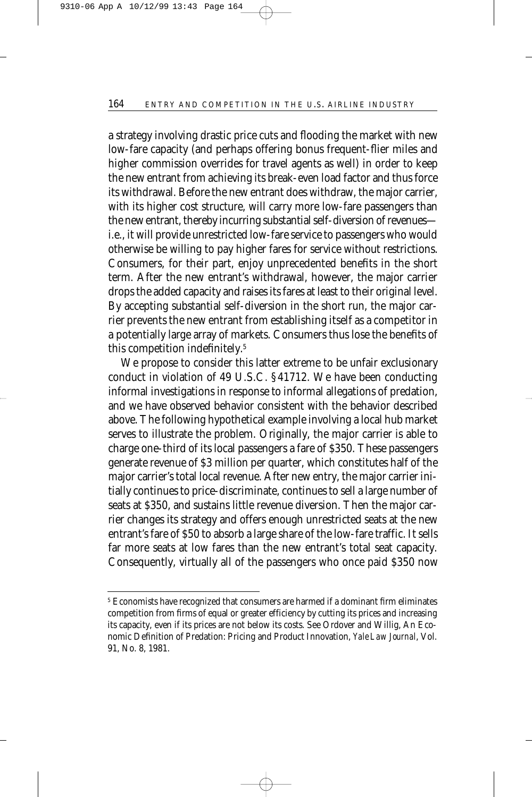a strategy involving drastic price cuts and flooding the market with new low-fare capacity (and perhaps offering bonus frequent-flier miles and higher commission overrides for travel agents as well) in order to keep the new entrant from achieving its break-even load factor and thus force its withdrawal. Before the new entrant does withdraw, the major carrier, with its higher cost structure, will carry more low-fare passengers than the new entrant, thereby incurring substantial self-diversion of revenues i.e., it will provide unrestricted low-fare service to passengers who would otherwise be willing to pay higher fares for service without restrictions. Consumers, for their part, enjoy unprecedented benefits in the short term. After the new entrant's withdrawal, however, the major carrier drops the added capacity and raises its fares at least to their original level. By accepting substantial self-diversion in the short run, the major carrier prevents the new entrant from establishing itself as a competitor in a potentially large array of markets. Consumers thus lose the benefits of this competition indefinitely.5

We propose to consider this latter extreme to be unfair exclusionary conduct in violation of 49 U.S.C. §41712. We have been conducting informal investigations in response to informal allegations of predation, and we have observed behavior consistent with the behavior described above. The following hypothetical example involving a local hub market serves to illustrate the problem. Originally, the major carrier is able to charge one-third of its local passengers a fare of \$350. These passengers generate revenue of \$3 million per quarter, which constitutes half of the major carrier's total local revenue. After new entry, the major carrier initially continues to price-discriminate, continues to sell a large number of seats at \$350, and sustains little revenue diversion. Then the major carrier changes its strategy and offers enough unrestricted seats at the new entrant's fare of \$50 to absorb a large share of the low-fare traffic. It sells far more seats at low fares than the new entrant's total seat capacity. Consequently, virtually all of the passengers who once paid \$350 now

<sup>5</sup> Economists have recognized that consumers are harmed if a dominant firm eliminates competition from firms of equal or greater efficiency by cutting its prices and increasing its capacity, even if its prices are not below its costs. See Ordover and Willig, An Economic Definition of Predation: Pricing and Product Innovation, *Yale Law Journal*, Vol. 91, No. 8, 1981.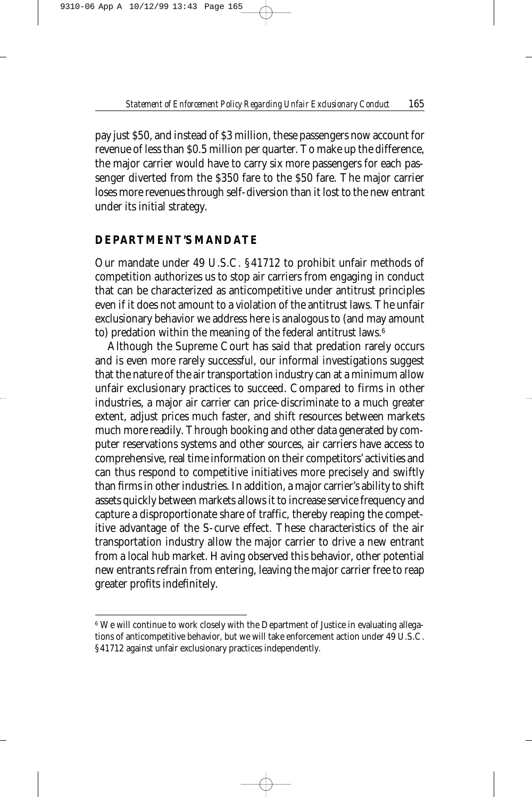*Statement of Enforcement Policy Regarding Unfair Exclusionary Conduct* 165

pay just \$50, and instead of \$3 million, these passengers now account for revenue of less than \$0.5 million per quarter. To make up the difference, the major carrier would have to carry six more passengers for each passenger diverted from the \$350 fare to the \$50 fare. The major carrier loses more revenues through self-diversion than it lost to the new entrant under its initial strategy.

#### **DEPARTMENT'S MANDATE**

Our mandate under 49 U.S.C. §41712 to prohibit unfair methods of competition authorizes us to stop air carriers from engaging in conduct that can be characterized as anticompetitive under antitrust principles even if it does not amount to a violation of the antitrust laws. The unfair exclusionary behavior we address here is analogous to (and may amount to) predation within the meaning of the federal antitrust laws.<sup>6</sup>

Although the Supreme Court has said that predation rarely occurs and is even more rarely successful, our informal investigations suggest that the nature of the air transportation industry can at a minimum allow unfair exclusionary practices to succeed. Compared to firms in other industries, a major air carrier can price-discriminate to a much greater extent, adjust prices much faster, and shift resources between markets much more readily. Through booking and other data generated by computer reservations systems and other sources, air carriers have access to comprehensive, real time information on their competitors' activities and can thus respond to competitive initiatives more precisely and swiftly than firms in other industries. In addition, a major carrier's ability to shift assets quickly between markets allows it to increase service frequency and capture a disproportionate share of traffic, thereby reaping the competitive advantage of the S-curve effect. These characteristics of the air transportation industry allow the major carrier to drive a new entrant from a local hub market. Having observed this behavior, other potential new entrants refrain from entering, leaving the major carrier free to reap greater profits indefinitely.

<sup>&</sup>lt;sup>6</sup> We will continue to work closely with the Department of Justice in evaluating allegations of anticompetitive behavior, but we will take enforcement action under 49 U.S.C. §41712 against unfair exclusionary practices independently.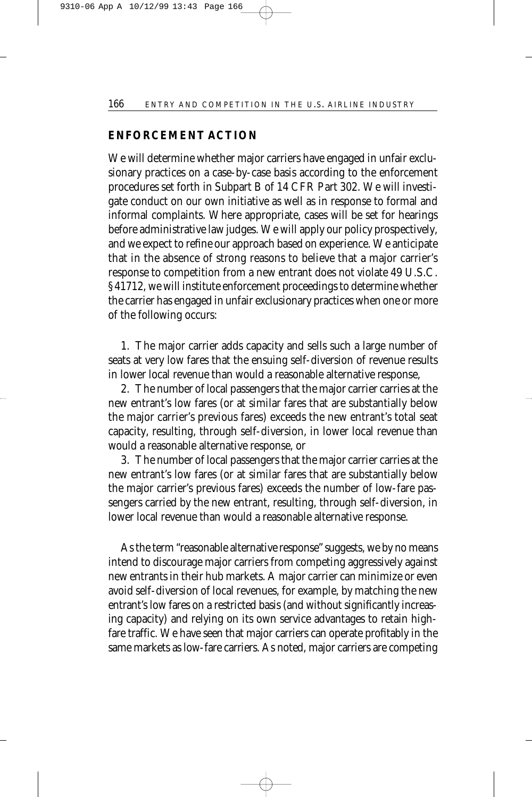#### **ENFORCEMENT ACTION**

We will determine whether major carriers have engaged in unfair exclusionary practices on a case-by-case basis according to the enforcement procedures set forth in Subpart B of 14 CFR Part 302. We will investigate conduct on our own initiative as well as in response to formal and informal complaints. Where appropriate, cases will be set for hearings before administrative law judges. We will apply our policy prospectively, and we expect to refine our approach based on experience. We anticipate that in the absence of strong reasons to believe that a major carrier's response to competition from a new entrant does not violate 49 U.S.C. §41712, we will institute enforcement proceedings to determine whether the carrier has engaged in unfair exclusionary practices when one or more of the following occurs:

1. The major carrier adds capacity and sells such a large number of seats at very low fares that the ensuing self-diversion of revenue results in lower local revenue than would a reasonable alternative response,

2. The number of local passengers that the major carrier carries at the new entrant's low fares (or at similar fares that are substantially below the major carrier's previous fares) exceeds the new entrant's total seat capacity, resulting, through self-diversion, in lower local revenue than would a reasonable alternative response, or

3. The number of local passengers that the major carrier carries at the new entrant's low fares (or at similar fares that are substantially below the major carrier's previous fares) exceeds the number of low-fare passengers carried by the new entrant, resulting, through self-diversion, in lower local revenue than would a reasonable alternative response.

As the term "reasonable alternative response" suggests, we by no means intend to discourage major carriers from competing aggressively against new entrants in their hub markets. A major carrier can minimize or even avoid self-diversion of local revenues, for example, by matching the new entrant's low fares on a restricted basis (and without significantly increasing capacity) and relying on its own service advantages to retain highfare traffic. We have seen that major carriers can operate profitably in the same markets as low-fare carriers. As noted, major carriers are competing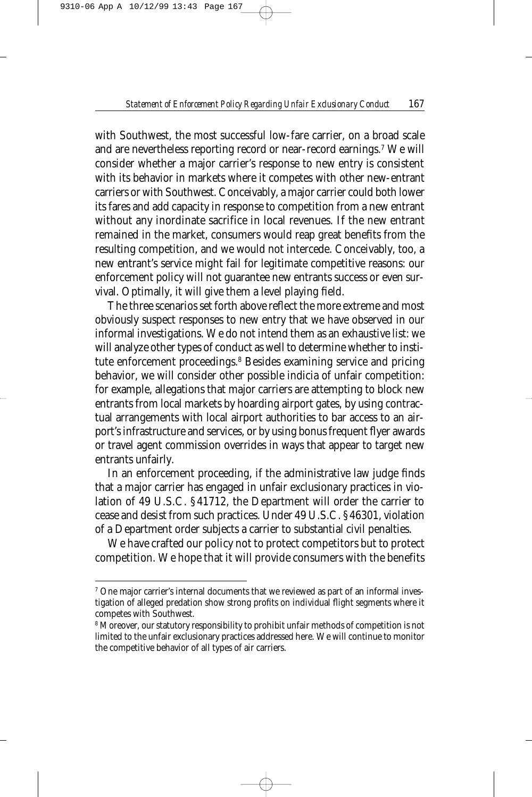*Statement of Enforcement Policy Regarding Unfair Exclusionary Conduct* 167

with Southwest, the most successful low-fare carrier, on a broad scale and are nevertheless reporting record or near-record earnings.7 We will consider whether a major carrier's response to new entry is consistent with its behavior in markets where it competes with other new-entrant carriers or with Southwest. Conceivably, a major carrier could both lower its fares and add capacity in response to competition from a new entrant without any inordinate sacrifice in local revenues. If the new entrant remained in the market, consumers would reap great benefits from the resulting competition, and we would not intercede. Conceivably, too, a new entrant's service might fail for legitimate competitive reasons: our enforcement policy will not guarantee new entrants success or even survival. Optimally, it will give them a level playing field.

The three scenarios set forth above reflect the more extreme and most obviously suspect responses to new entry that we have observed in our informal investigations. We do not intend them as an exhaustive list: we will analyze other types of conduct as well to determine whether to institute enforcement proceedings.8 Besides examining service and pricing behavior, we will consider other possible indicia of unfair competition: for example, allegations that major carriers are attempting to block new entrants from local markets by hoarding airport gates, by using contractual arrangements with local airport authorities to bar access to an airport's infrastructure and services, or by using bonus frequent flyer awards or travel agent commission overrides in ways that appear to target new entrants unfairly.

In an enforcement proceeding, if the administrative law judge finds that a major carrier has engaged in unfair exclusionary practices in violation of 49 U.S.C. §41712, the Department will order the carrier to cease and desist from such practices. Under 49 U.S.C. §46301, violation of a Department order subjects a carrier to substantial civil penalties.

We have crafted our policy not to protect competitors but to protect competition. We hope that it will provide consumers with the benefits

<sup>&</sup>lt;sup>7</sup> One major carrier's internal documents that we reviewed as part of an informal investigation of alleged predation show strong profits on individual flight segments where it competes with Southwest.

<sup>8</sup> Moreover, our statutory responsibility to prohibit unfair methods of competition is not limited to the unfair exclusionary practices addressed here. We will continue to monitor the competitive behavior of all types of air carriers.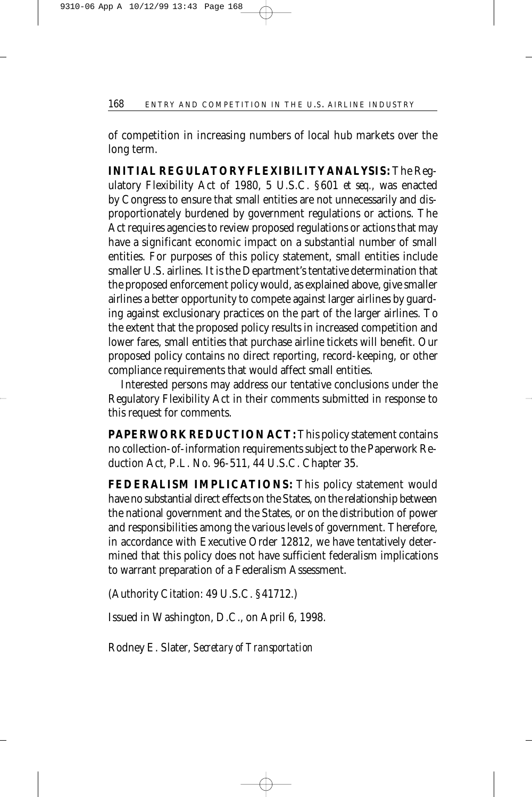of competition in increasing numbers of local hub markets over the long term.

**INITIAL REGULATORY FLEXIBILITY ANALYSIS:** The Regulatory Flexibility Act of 1980, 5 U.S.C. §601 *et seq.*, was enacted by Congress to ensure that small entities are not unnecessarily and disproportionately burdened by government regulations or actions. The Act requires agencies to review proposed regulations or actions that may have a significant economic impact on a substantial number of small entities. For purposes of this policy statement, small entities include smaller U.S. airlines. It is the Department's tentative determination that the proposed enforcement policy would, as explained above, give smaller airlines a better opportunity to compete against larger airlines by guarding against exclusionary practices on the part of the larger airlines. To the extent that the proposed policy results in increased competition and lower fares, small entities that purchase airline tickets will benefit. Our proposed policy contains no direct reporting, record-keeping, or other compliance requirements that would affect small entities.

Interested persons may address our tentative conclusions under the Regulatory Flexibility Act in their comments submitted in response to this request for comments.

**PAPERWORK REDUCTION ACT:** This policy statement contains no collection-of-information requirements subject to the Paperwork Reduction Act, P.L. No. 96-511, 44 U.S.C. Chapter 35.

**FEDERALISM IMPLICATIONS:** This policy statement would have no substantial direct effects on the States, on the relationship between the national government and the States, or on the distribution of power and responsibilities among the various levels of government. Therefore, in accordance with Executive Order 12812, we have tentatively determined that this policy does not have sufficient federalism implications to warrant preparation of a Federalism Assessment.

(Authority Citation: 49 U.S.C. §41712.)

Issued in Washington, D.C., on April 6, 1998.

Rodney E. Slater, *Secretary of Transportation*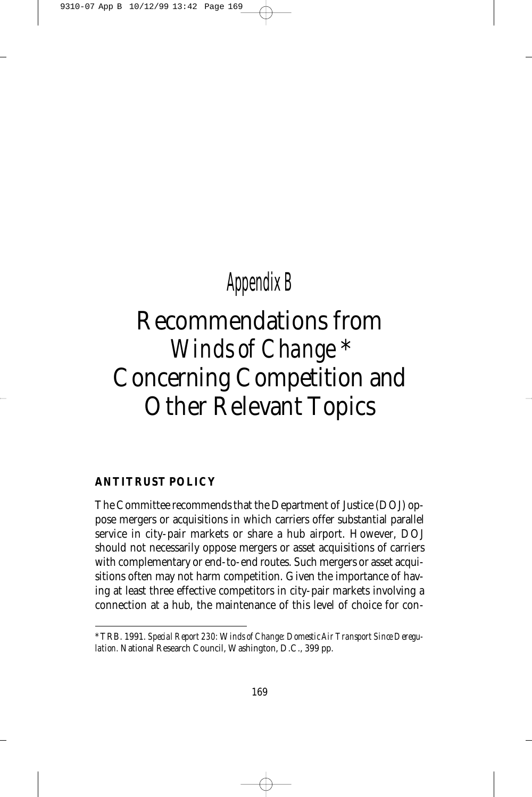### **Appendix B**

## Recommendations from *Winds of Change* \* Concerning Competition and Other Relevant Topics

#### **ANTITRUST POLICY**

The Committee recommends that the Department of Justice (DOJ) oppose mergers or acquisitions in which carriers offer substantial parallel service in city-pair markets or share a hub airport. However, DOJ should not necessarily oppose mergers or asset acquisitions of carriers with complementary or end-to-end routes. Such mergers or asset acquisitions often may not harm competition. Given the importance of having at least three effective competitors in city-pair markets involving a connection at a hub, the maintenance of this level of choice for con-

<sup>\*</sup> TRB. 1991. *Special Report 230:* W*inds of Change: Domestic Air Transport Since Deregulation.* National Research Council, Washington, D.C., 399 pp.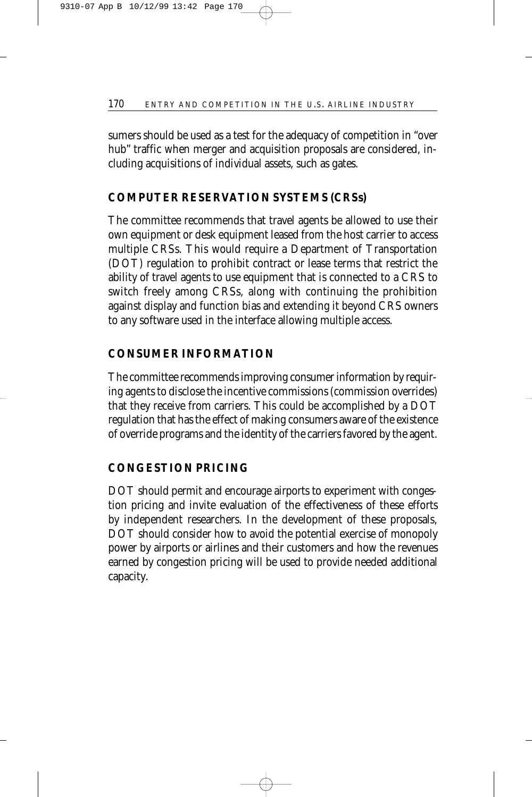sumers should be used as a test for the adequacy of competition in "over hub" traffic when merger and acquisition proposals are considered, including acquisitions of individual assets, such as gates.

#### **COMPUTER RESERVATION SYSTEMS (CRSs)**

The committee recommends that travel agents be allowed to use their own equipment or desk equipment leased from the host carrier to access multiple CRSs. This would require a Department of Transportation (DOT) regulation to prohibit contract or lease terms that restrict the ability of travel agents to use equipment that is connected to a CRS to switch freely among CRSs, along with continuing the prohibition against display and function bias and extending it beyond CRS owners to any software used in the interface allowing multiple access.

#### **CONSUMER INFORMATION**

The committee recommends improving consumer information by requiring agents to disclose the incentive commissions (commission overrides) that they receive from carriers. This could be accomplished by a DOT regulation that has the effect of making consumers aware of the existence of override programs and the identity of the carriers favored by the agent.

#### **CONGESTION PRICING**

DOT should permit and encourage airports to experiment with congestion pricing and invite evaluation of the effectiveness of these efforts by independent researchers. In the development of these proposals, DOT should consider how to avoid the potential exercise of monopoly power by airports or airlines and their customers and how the revenues earned by congestion pricing will be used to provide needed additional capacity.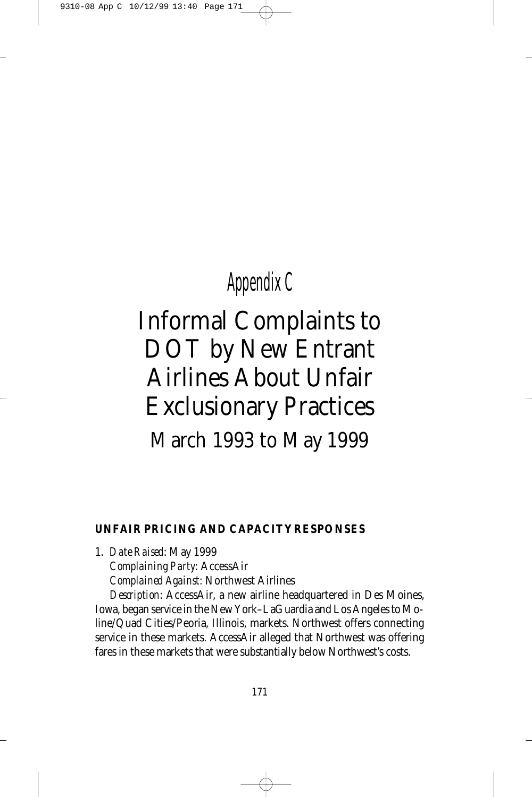### **Apendx C**

## Informal Complaints to DOT by New Entrant Airlines About Unfair Exclusionary Practices March 1993 to May 1999

#### **UNFAIR PRICING AND CAPACITY RESPONSES**

1. *Date Raised*: May 1999

*Complaining Party*: AccessAir

*Complained Against*: Northwest Airlines

*Description*: AccessAir, a new airline headquartered in Des Moines, Iowa, began service in the New York–LaGuardia and Los Angeles to Moline/Quad Cities/Peoria, Illinois, markets. Northwest offers connecting service in these markets. AccessAir alleged that Northwest was offering fares in these markets that were substantially below Northwest's costs.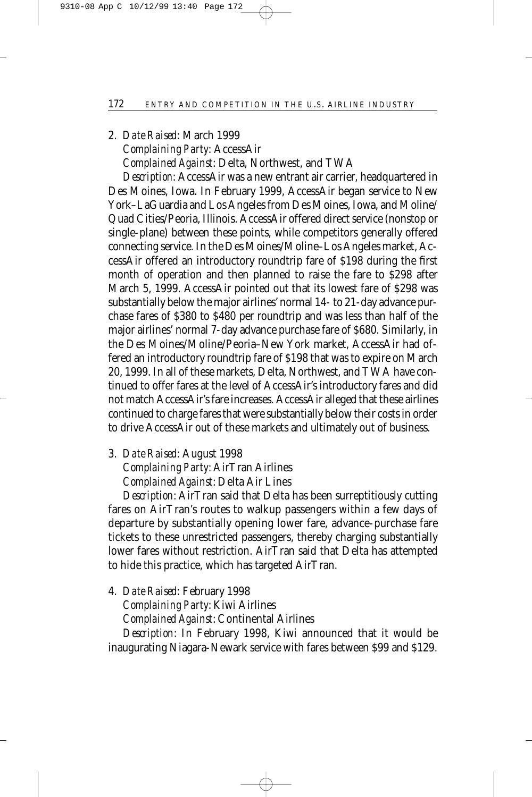#### 2. *Date Raised*: March 1999

*Complaining Party*: AccessAir *Complained Against*: Delta, Northwest, and TWA

*Description*: AccessAir was a new entrant air carrier, headquartered in Des Moines, Iowa. In February 1999, AccessAir began service to New York–LaGuardia and Los Angeles from Des Moines, Iowa, and Moline/ Quad Cities/Peoria, Illinois. AccessAir offered direct service (nonstop or single-plane) between these points, while competitors generally offered connecting service. In the Des Moines/Moline–Los Angeles market, AccessAir offered an introductory roundtrip fare of \$198 during the first month of operation and then planned to raise the fare to \$298 after March 5, 1999. AccessAir pointed out that its lowest fare of \$298 was substantially below the major airlines' normal 14- to 21-day advance purchase fares of \$380 to \$480 per roundtrip and was less than half of the major airlines' normal 7-day advance purchase fare of \$680. Similarly, in the Des Moines/Moline/Peoria–New York market, AccessAir had offered an introductory roundtrip fare of \$198 that was to expire on March 20, 1999. In all of these markets, Delta, Northwest, and TWA have continued to offer fares at the level of AccessAir's introductory fares and did not match AccessAir's fare increases. AccessAir alleged that these airlines continued to charge fares that were substantially below their costs in order to drive AccessAir out of these markets and ultimately out of business.

3. *Date Raised*: August 1998

*Complaining Party*: AirTran Airlines *Complained Against*: Delta Air Lines

*Description*: AirTran said that Delta has been surreptitiously cutting fares on AirTran's routes to walkup passengers within a few days of departure by substantially opening lower fare, advance-purchase fare tickets to these unrestricted passengers, thereby charging substantially lower fares without restriction. AirTran said that Delta has attempted to hide this practice, which has targeted AirTran.

4. *Date Raised*: February 1998

*Complaining Party*: Kiwi Airlines

*Complained Against*: Continental Airlines

*Description*: In February 1998, Kiwi announced that it would be inaugurating Niagara-Newark service with fares between \$99 and \$129.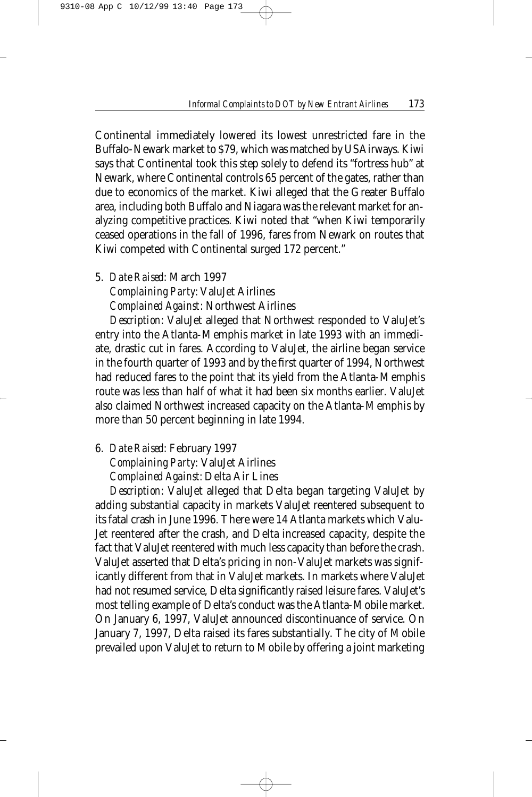*Informal Complaints to DOT by New Entrant Airlines* 173

Continental immediately lowered its lowest unrestricted fare in the Buffalo-Newark market to \$79, which was matched by USAirways. Kiwi says that Continental took this step solely to defend its "fortress hub" at Newark, where Continental controls 65 percent of the gates, rather than due to economics of the market. Kiwi alleged that the Greater Buffalo area, including both Buffalo and Niagara was the relevant market for analyzing competitive practices. Kiwi noted that "when Kiwi temporarily ceased operations in the fall of 1996, fares from Newark on routes that Kiwi competed with Continental surged 172 percent."

5. *Date Raised*: March 1997

*Complaining Party*: ValuJet Airlines

*Complained Against*: Northwest Airlines

*Description*: ValuJet alleged that Northwest responded to ValuJet's entry into the Atlanta-Memphis market in late 1993 with an immediate, drastic cut in fares. According to ValuJet, the airline began service in the fourth quarter of 1993 and by the first quarter of 1994, Northwest had reduced fares to the point that its yield from the Atlanta-Memphis route was less than half of what it had been six months earlier. ValuJet also claimed Northwest increased capacity on the Atlanta-Memphis by more than 50 percent beginning in late 1994.

6. *Date Raised*: February 1997

*Complaining Party*: ValuJet Airlines *Complained Against*: Delta Air Lines

*Description*: ValuJet alleged that Delta began targeting ValuJet by adding substantial capacity in markets ValuJet reentered subsequent to its fatal crash in June 1996. There were 14 Atlanta markets which Valu-Jet reentered after the crash, and Delta increased capacity, despite the fact that ValuJet reentered with much less capacity than before the crash. ValuJet asserted that Delta's pricing in non-ValuJet markets was significantly different from that in ValuJet markets. In markets where ValuJet had not resumed service, Delta significantly raised leisure fares. ValuJet's most telling example of Delta's conduct was the Atlanta-Mobile market. On January 6, 1997, ValuJet announced discontinuance of service. On January 7, 1997, Delta raised its fares substantially. The city of Mobile prevailed upon ValuJet to return to Mobile by offering a joint marketing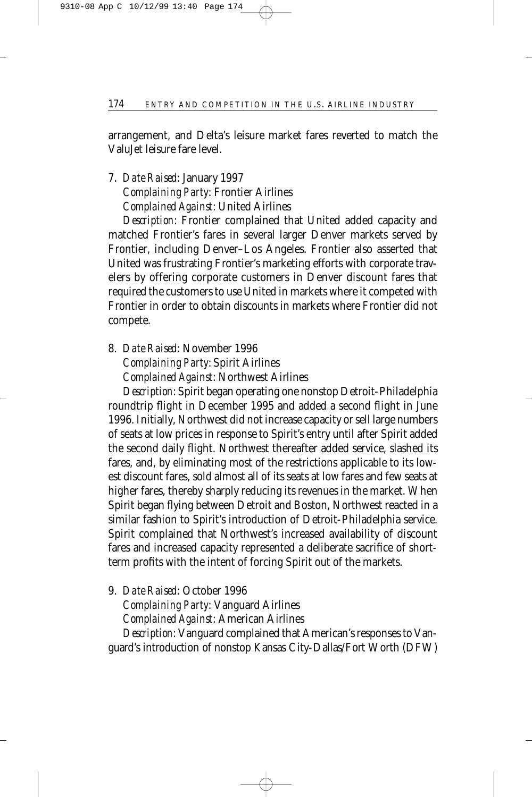arrangement, and Delta's leisure market fares reverted to match the ValuJet leisure fare level.

7. *Date Raised*: January 1997 *Complaining Party*: Frontier Airlines *Complained Against*: United Airlines

*Description*: Frontier complained that United added capacity and matched Frontier's fares in several larger Denver markets served by Frontier, including Denver–Los Angeles. Frontier also asserted that United was frustrating Frontier's marketing efforts with corporate travelers by offering corporate customers in Denver discount fares that required the customers to use United in markets where it competed with Frontier in order to obtain discounts in markets where Frontier did not compete.

8. *Date Raised*: November 1996 *Complaining Party*: Spirit Airlines *Complained Against*: Northwest Airlines

*Description*: Spirit began operating one nonstop Detroit-Philadelphia roundtrip flight in December 1995 and added a second flight in June 1996. Initially, Northwest did not increase capacity or sell large numbers of seats at low prices in response to Spirit's entry until after Spirit added the second daily flight. Northwest thereafter added service, slashed its fares, and, by eliminating most of the restrictions applicable to its lowest discount fares, sold almost all of its seats at low fares and few seats at higher fares, thereby sharply reducing its revenues in the market. When Spirit began flying between Detroit and Boston, Northwest reacted in a similar fashion to Spirit's introduction of Detroit-Philadelphia service. Spirit complained that Northwest's increased availability of discount fares and increased capacity represented a deliberate sacrifice of shortterm profits with the intent of forcing Spirit out of the markets.

9. *Date Raised*: October 1996

*Complaining Party*: Vanguard Airlines

*Complained Against*: American Airlines

*Description*: Vanguard complained that American's responses to Vanguard's introduction of nonstop Kansas City-Dallas/Fort Worth (DFW)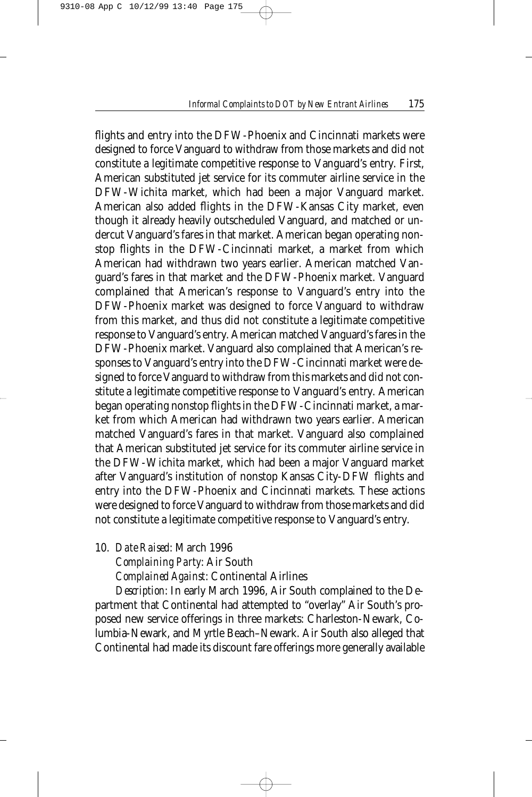flights and entry into the DFW-Phoenix and Cincinnati markets were designed to force Vanguard to withdraw from those markets and did not constitute a legitimate competitive response to Vanguard's entry. First, American substituted jet service for its commuter airline service in the DFW-Wichita market, which had been a major Vanguard market. American also added flights in the DFW-Kansas City market, even though it already heavily outscheduled Vanguard, and matched or undercut Vanguard's fares in that market. American began operating nonstop flights in the DFW-Cincinnati market, a market from which American had withdrawn two years earlier. American matched Vanguard's fares in that market and the DFW-Phoenix market. Vanguard complained that American's response to Vanguard's entry into the DFW-Phoenix market was designed to force Vanguard to withdraw from this market, and thus did not constitute a legitimate competitive response to Vanguard's entry. American matched Vanguard's fares in the DFW-Phoenix market. Vanguard also complained that American's responses to Vanguard's entry into the DFW-Cincinnati market were designed to force Vanguard to withdraw from this markets and did not constitute a legitimate competitive response to Vanguard's entry. American began operating nonstop flights in the DFW-Cincinnati market, a market from which American had withdrawn two years earlier. American matched Vanguard's fares in that market. Vanguard also complained that American substituted jet service for its commuter airline service in the DFW-Wichita market, which had been a major Vanguard market after Vanguard's institution of nonstop Kansas City-DFW flights and entry into the DFW-Phoenix and Cincinnati markets. These actions were designed to force Vanguard to withdraw from those markets and did not constitute a legitimate competitive response to Vanguard's entry.

#### 10. *Date Raised*: March 1996

9310-08 App C 10/12/99 13:40

*Complaining Party*: Air South

*Complained Against*: Continental Airlines

*Description*: In early March 1996, Air South complained to the Department that Continental had attempted to "overlay" Air South's proposed new service offerings in three markets: Charleston-Newark, Columbia-Newark, and Myrtle Beach–Newark. Air South also alleged that Continental had made its discount fare offerings more generally available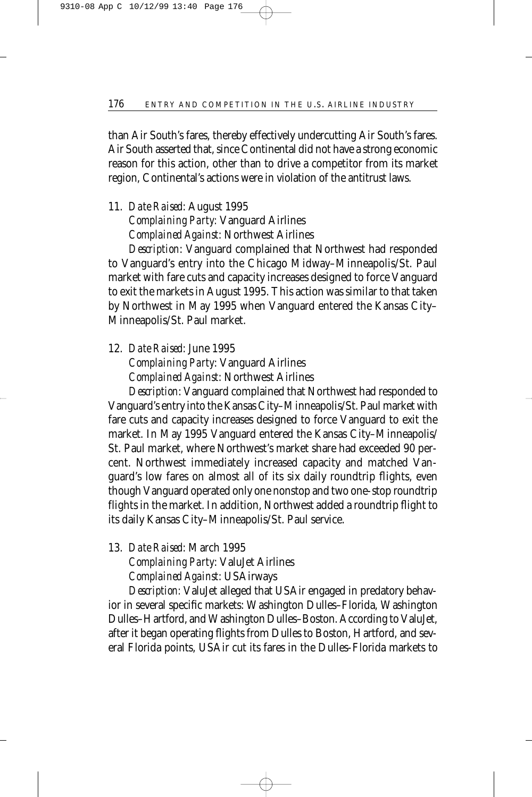than Air South's fares, thereby effectively undercutting Air South's fares. Air South asserted that, since Continental did not have a strong economic reason for this action, other than to drive a competitor from its market region, Continental's actions were in violation of the antitrust laws.

11. *Date Raised*: August 1995 *Complaining Party:* Vanguard Airlines *Complained Against*: Northwest Airlines

*Description*: Vanguard complained that Northwest had responded to Vanguard's entry into the Chicago Midway–Minneapolis/St. Paul market with fare cuts and capacity increases designed to force Vanguard to exit the markets in August 1995. This action was similar to that taken by Northwest in May 1995 when Vanguard entered the Kansas City– Minneapolis/St. Paul market.

12. *Date Raised*: June 1995 *Complaining Party*: Vanguard Airlines *Complained Against*: Northwest Airlines

*Description*: Vanguard complained that Northwest had responded to Vanguard's entry into the Kansas City–Minneapolis/St. Paul market with fare cuts and capacity increases designed to force Vanguard to exit the market. In May 1995 Vanguard entered the Kansas City–Minneapolis/ St. Paul market, where Northwest's market share had exceeded 90 percent. Northwest immediately increased capacity and matched Vanguard's low fares on almost all of its six daily roundtrip flights, even though Vanguard operated only one nonstop and two one-stop roundtrip flights in the market. In addition, Northwest added a roundtrip flight to its daily Kansas City–Minneapolis/St. Paul service.

13. *Date Raised*: March 1995

*Complaining Party*: ValuJet Airlines *Complained Against*: USAirways

*Description:* ValuJet alleged that USAir engaged in predatory behavior in several specific markets: Washington Dulles–Florida, Washington Dulles–Hartford, and Washington Dulles–Boston. According to ValuJet, after it began operating flights from Dulles to Boston, Hartford, and several Florida points, USAir cut its fares in the Dulles-Florida markets to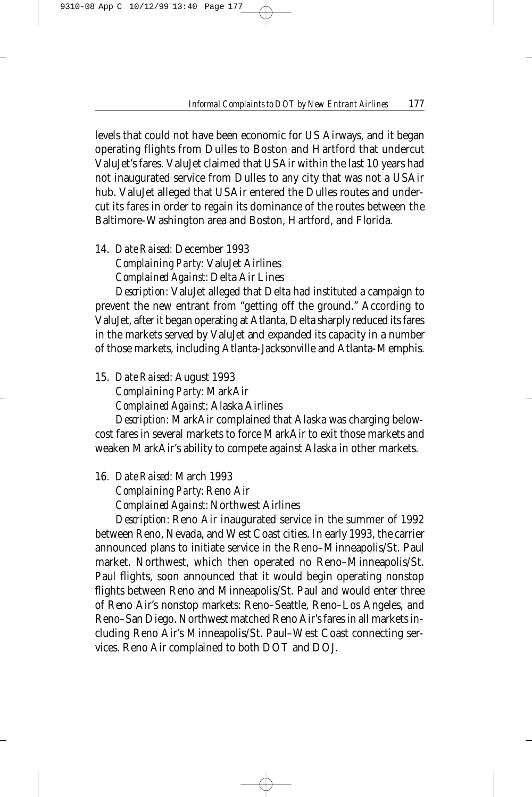*Informal Complaints to DOT by New Entrant Airlines* 177

levels that could not have been economic for US Airways, and it began operating flights from Dulles to Boston and Hartford that undercut ValuJet's fares. ValuJet claimed that USAir within the last 10 years had not inaugurated service from Dulles to any city that was not a USAir hub. ValuJet alleged that USAir entered the Dulles routes and undercut its fares in order to regain its dominance of the routes between the Baltimore-Washington area and Boston, Hartford, and Florida.

14. *Date Raised:* December 1993 *Complaining Party*: ValuJet Airlines *Complained Against*: Delta Air Lines

*Description*: ValuJet alleged that Delta had instituted a campaign to prevent the new entrant from "getting off the ground." According to ValuJet, after it began operating at Atlanta, Delta sharply reduced its fares in the markets served by ValuJet and expanded its capacity in a number of those markets, including Atlanta-Jacksonville and Atlanta-Memphis.

15. *Date Raised*: August 1993 *Complaining Party*: MarkAir *Complained Against*: Alaska Airlines

*Description*: MarkAir complained that Alaska was charging belowcost fares in several markets to force MarkAir to exit those markets and weaken MarkAir's ability to compete against Alaska in other markets.

16. *Date Raised*: March 1993

*Complaining Party*: Reno Air *Complained Against*: Northwest Airlines

*Description*: Reno Air inaugurated service in the summer of 1992 between Reno, Nevada, and West Coast cities. In early 1993, the carrier announced plans to initiate service in the Reno–Minneapolis/St. Paul market. Northwest, which then operated no Reno–Minneapolis/St. Paul flights, soon announced that it would begin operating nonstop flights between Reno and Minneapolis/St. Paul and would enter three of Reno Air's nonstop markets: Reno–Seattle, Reno–Los Angeles, and Reno–San Diego. Northwest matched Reno Air's fares in all markets including Reno Air's Minneapolis/St. Paul–West Coast connecting services. Reno Air complained to both DOT and DOJ.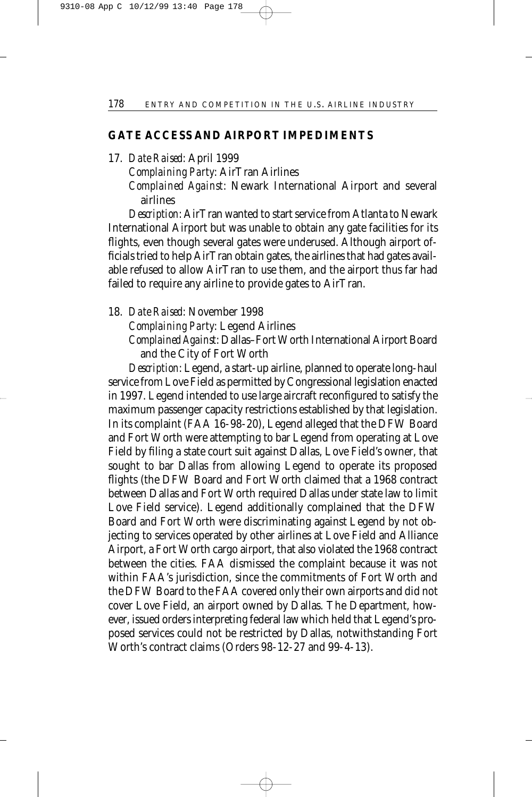#### **GATE ACCESS AND AIRPORT IMPEDIMENTS**

17. *Date Raised*: April 1999

*Complaining Party*: AirTran Airlines *Complained Against*: Newark International Airport and several airlines

*Description*: AirTran wanted to start service from Atlanta to Newark International Airport but was unable to obtain any gate facilities for its flights, even though several gates were underused. Although airport officials tried to help AirTran obtain gates, the airlines that had gates available refused to allow AirTran to use them, and the airport thus far had failed to require any airline to provide gates to AirTran.

18. *Date Raised*: November 1998

*Complaining Party*: Legend Airlines

*Complained Against*: Dallas–Fort Worth International Airport Board and the City of Fort Worth

*Description*: Legend, a start-up airline, planned to operate long-haul service from Love Field as permitted by Congressional legislation enacted in 1997. Legend intended to use large aircraft reconfigured to satisfy the maximum passenger capacity restrictions established by that legislation. In its complaint (FAA 16-98-20), Legend alleged that the DFW Board and Fort Worth were attempting to bar Legend from operating at Love Field by filing a state court suit against Dallas, Love Field's owner, that sought to bar Dallas from allowing Legend to operate its proposed flights (the DFW Board and Fort Worth claimed that a 1968 contract between Dallas and Fort Worth required Dallas under state law to limit Love Field service). Legend additionally complained that the DFW Board and Fort Worth were discriminating against Legend by not objecting to services operated by other airlines at Love Field and Alliance Airport, a Fort Worth cargo airport, that also violated the 1968 contract between the cities. FAA dismissed the complaint because it was not within FAA's jurisdiction, since the commitments of Fort Worth and the DFW Board to the FAA covered only their own airports and did not cover Love Field, an airport owned by Dallas. The Department, however, issued orders interpreting federal law which held that Legend's proposed services could not be restricted by Dallas, notwithstanding Fort Worth's contract claims (Orders 98-12-27 and 99-4-13).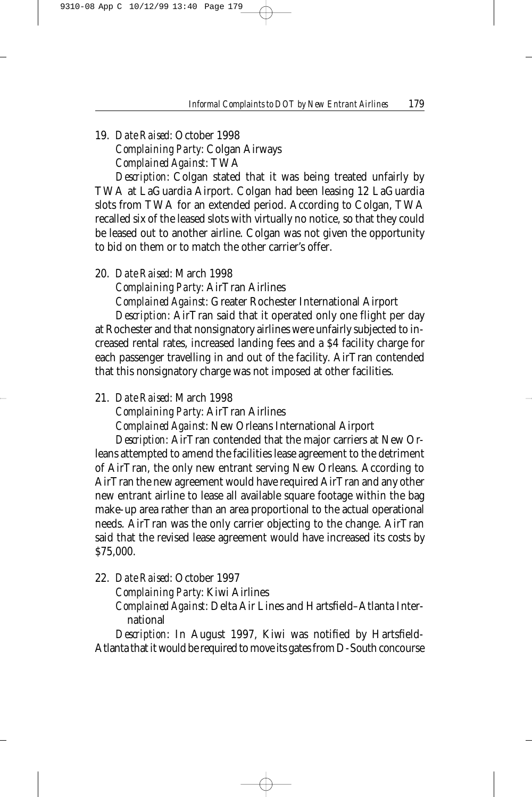### 19. *Date Raised*: October 1998 *Complaining Party*: Colgan Airways *Complained Against*: TWA

9310-08 App C 10/12/99 13:40 Page 179

*Description*: Colgan stated that it was being treated unfairly by TWA at LaGuardia Airport. Colgan had been leasing 12 LaGuardia slots from TWA for an extended period. According to Colgan, TWA recalled six of the leased slots with virtually no notice, so that they could be leased out to another airline. Colgan was not given the opportunity to bid on them or to match the other carrier's offer.

20. *Date Raised*: March 1998

*Complaining Party*: AirTran Airlines

*Complained Against*: Greater Rochester International Airport

*Description*: AirTran said that it operated only one flight per day at Rochester and that nonsignatory airlines were unfairly subjected to increased rental rates, increased landing fees and a \$4 facility charge for each passenger travelling in and out of the facility. AirTran contended that this nonsignatory charge was not imposed at other facilities.

21. *Date Raised*: March 1998

*Complaining Party*: AirTran Airlines

*Complained Against*: New Orleans International Airport

*Description*: AirTran contended that the major carriers at New Orleans attempted to amend the facilities lease agreement to the detriment of AirTran, the only new entrant serving New Orleans. According to AirTran the new agreement would have required AirTran and any other new entrant airline to lease all available square footage within the bag make-up area rather than an area proportional to the actual operational needs. AirTran was the only carrier objecting to the change. AirTran said that the revised lease agreement would have increased its costs by \$75,000.

22. *Date Raised*: October 1997

*Complaining Party*: Kiwi Airlines

*Complained Against*: Delta Air Lines and Hartsfield–Atlanta International

*Description*: In August 1997, Kiwi was notified by Hartsfield-Atlanta that it would be required to move its gates from D-South concourse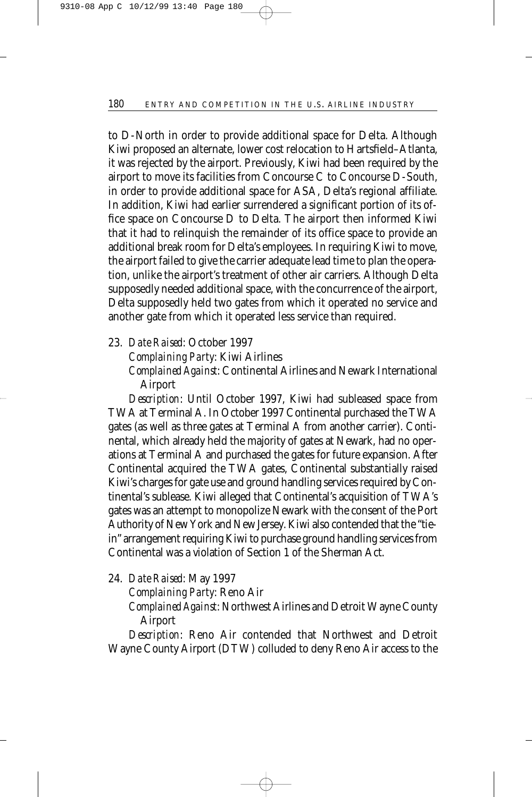to D-North in order to provide additional space for Delta. Although Kiwi proposed an alternate, lower cost relocation to Hartsfield–Atlanta, it was rejected by the airport. Previously, Kiwi had been required by the airport to move its facilities from Concourse C to Concourse D-South, in order to provide additional space for ASA, Delta's regional affiliate. In addition, Kiwi had earlier surrendered a significant portion of its office space on Concourse D to Delta. The airport then informed Kiwi that it had to relinquish the remainder of its office space to provide an additional break room for Delta's employees. In requiring Kiwi to move, the airport failed to give the carrier adequate lead time to plan the operation, unlike the airport's treatment of other air carriers. Although Delta supposedly needed additional space, with the concurrence of the airport, Delta supposedly held two gates from which it operated no service and another gate from which it operated less service than required.

23. *Date Raised*: October 1997

*Complaining Party*: Kiwi Airlines

*Complained Against*: Continental Airlines and Newark International Airport

*Description*: Until October 1997, Kiwi had subleased space from TWA at Terminal A. In October 1997 Continental purchased the TWA gates (as well as three gates at Terminal A from another carrier). Continental, which already held the majority of gates at Newark, had no operations at Terminal A and purchased the gates for future expansion. After Continental acquired the TWA gates, Continental substantially raised Kiwi's charges for gate use and ground handling services required by Continental's sublease. Kiwi alleged that Continental's acquisition of TWA's gates was an attempt to monopolize Newark with the consent of the Port Authority of New York and New Jersey. Kiwi also contended that the "tiein" arrangement requiring Kiwi to purchase ground handling services from Continental was a violation of Section 1 of the Sherman Act.

24. *Date Raised*: May 1997

*Complaining Party*: Reno Air

*Complained Against*: Northwest Airlines and Detroit Wayne County Airport

*Description*: Reno Air contended that Northwest and Detroit Wayne County Airport (DTW) colluded to deny Reno Air access to the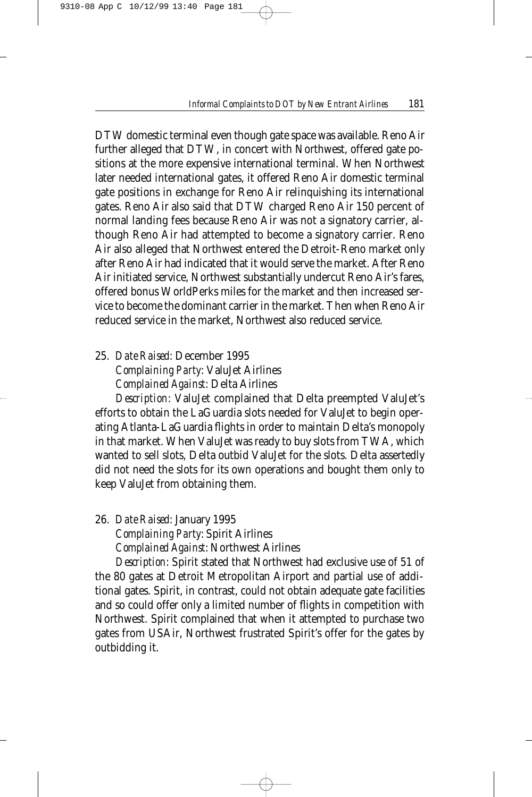DTW domestic terminal even though gate space was available. Reno Air further alleged that DTW, in concert with Northwest, offered gate positions at the more expensive international terminal. When Northwest later needed international gates, it offered Reno Air domestic terminal gate positions in exchange for Reno Air relinquishing its international gates. Reno Air also said that DTW charged Reno Air 150 percent of normal landing fees because Reno Air was not a signatory carrier, although Reno Air had attempted to become a signatory carrier. Reno Air also alleged that Northwest entered the Detroit-Reno market only after Reno Air had indicated that it would serve the market. After Reno Air initiated service, Northwest substantially undercut Reno Air's fares, offered bonus WorldPerks miles for the market and then increased service to become the dominant carrier in the market. Then when Reno Air reduced service in the market, Northwest also reduced service.

25. *Date Raised*: December 1995 *Complaining Party*: ValuJet Airlines *Complained Against*: Delta Airlines

*Description*: ValuJet complained that Delta preempted ValuJet's efforts to obtain the LaGuardia slots needed for ValuJet to begin operating Atlanta-LaGuardia flights in order to maintain Delta's monopoly in that market. When ValuJet was ready to buy slots from TWA, which wanted to sell slots, Delta outbid ValuJet for the slots. Delta assertedly did not need the slots for its own operations and bought them only to keep ValuJet from obtaining them.

26. *Date Raised*: January 1995 *Complaining Party*: Spirit Airlines *Complained Against*: Northwest Airlines

*Description*: Spirit stated that Northwest had exclusive use of 51 of the 80 gates at Detroit Metropolitan Airport and partial use of additional gates. Spirit, in contrast, could not obtain adequate gate facilities and so could offer only a limited number of flights in competition with Northwest. Spirit complained that when it attempted to purchase two gates from USAir, Northwest frustrated Spirit's offer for the gates by outbidding it.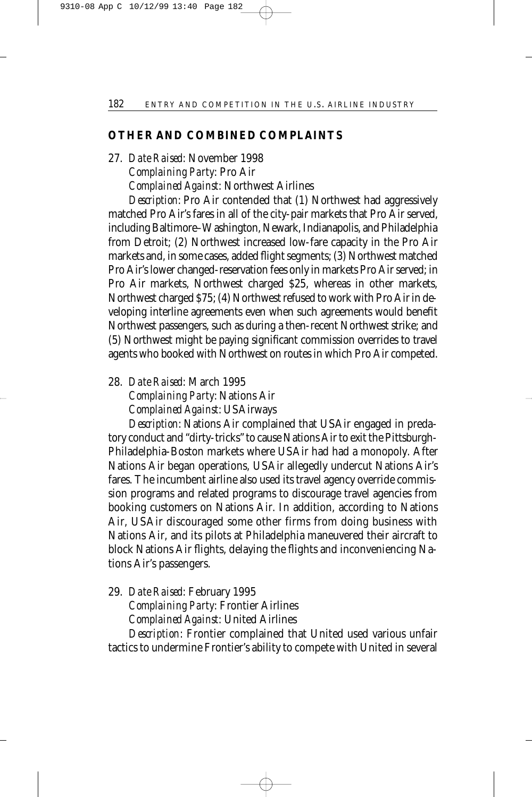#### **OTHER AND COMBINED COMPLAINTS**

#### 27. *Date Raised*: November 1998

#### *Complaining Party*: Pro Air *Complained Against*: Northwest Airlines

*Description*: Pro Air contended that (1) Northwest had aggressively matched Pro Air's fares in all of the city-pair markets that Pro Air served, including Baltimore–Washington, Newark, Indianapolis, and Philadelphia from Detroit; (2) Northwest increased low-fare capacity in the Pro Air markets and, in some cases, added flight segments; (3) Northwest matched Pro Air's lower changed-reservation fees only in markets Pro Air served; in Pro Air markets, Northwest charged \$25, whereas in other markets, Northwest charged \$75; (4) Northwest refused to work with Pro Air in developing interline agreements even when such agreements would benefit Northwest passengers, such as during a then-recent Northwest strike; and (5) Northwest might be paying significant commission overrides to travel agents who booked with Northwest on routes in which Pro Air competed.

28. *Date Raised*: March 1995 *Complaining Party*: Nations Air *Complained Against*: USAirways

*Description*: Nations Air complained that USAir engaged in predatory conduct and "dirty-tricks" to cause Nations Air to exit the Pittsburgh-Philadelphia-Boston markets where USAir had had a monopoly. After Nations Air began operations, USAir allegedly undercut Nations Air's fares. The incumbent airline also used its travel agency override commission programs and related programs to discourage travel agencies from booking customers on Nations Air. In addition, according to Nations Air, USAir discouraged some other firms from doing business with Nations Air, and its pilots at Philadelphia maneuvered their aircraft to block Nations Air flights, delaying the flights and inconveniencing Nations Air's passengers.

29. *Date Raised*: February 1995

*Complaining Party*: Frontier Airlines

*Complained Against*: United Airlines

*Description*: Frontier complained that United used various unfair tactics to undermine Frontier's ability to compete with United in several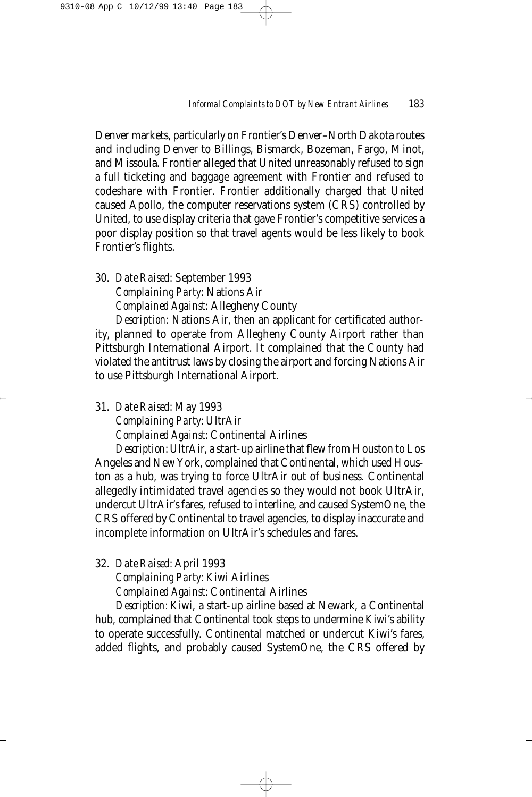*Informal Complaints to DOT by New Entrant Airlines* 183

Denver markets, particularly on Frontier's Denver–North Dakota routes and including Denver to Billings, Bismarck, Bozeman, Fargo, Minot, and Missoula. Frontier alleged that United unreasonably refused to sign a full ticketing and baggage agreement with Frontier and refused to codeshare with Frontier. Frontier additionally charged that United caused Apollo, the computer reservations system (CRS) controlled by United, to use display criteria that gave Frontier's competitive services a poor display position so that travel agents would be less likely to book Frontier's flights.

30. *Date Raised*: September 1993 *Complaining Party*: Nations Air *Complained Against*: Allegheny County

*Description*: Nations Air, then an applicant for certificated authority, planned to operate from Allegheny County Airport rather than Pittsburgh International Airport. It complained that the County had violated the antitrust laws by closing the airport and forcing Nations Air to use Pittsburgh International Airport.

31. *Date Raised*: May 1993

*Complaining Party*: UltrAir

*Complained Against*: Continental Airlines

*Description*: UltrAir, a start-up airline that flew from Houston to Los Angeles and New York, complained that Continental, which used Houston as a hub, was trying to force UltrAir out of business. Continental allegedly intimidated travel agencies so they would not book UltrAir, undercut UltrAir's fares, refused to interline, and caused SystemOne, the CRS offered by Continental to travel agencies, to display inaccurate and incomplete information on UltrAir's schedules and fares.

32. *Date Raised*: April 1993

*Complaining Party*: Kiwi Airlines

*Complained Against*: Continental Airlines

*Description*: Kiwi, a start-up airline based at Newark, a Continental hub, complained that Continental took steps to undermine Kiwi's ability to operate successfully. Continental matched or undercut Kiwi's fares, added flights, and probably caused SystemOne, the CRS offered by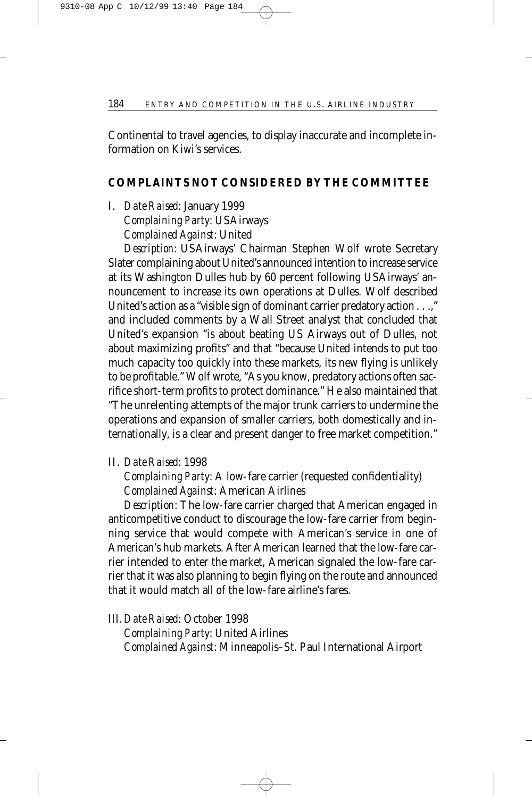Continental to travel agencies, to display inaccurate and incomplete information on Kiwi's services.

#### **COMPLAINTS NOT CONSIDERED BY THE COMMITTEE**

I. *Date Raised*: January 1999 *Complaining Party*: USAirways *Complained Against*: United

*Description*: USAirways' Chairman Stephen Wolf wrote Secretary Slater complaining about United's announced intention to increase service at its Washington Dulles hub by 60 percent following USAirways' announcement to increase its own operations at Dulles. Wolf described United's action as a "visible sign of dominant carrier predatory action . . .," and included comments by a Wall Street analyst that concluded that United's expansion "is about beating US Airways out of Dulles, not about maximizing profits" and that "because United intends to put too much capacity too quickly into these markets, its new flying is unlikely to be profitable." Wolf wrote, "As you know, predatory actions often sacrifice short-term profits to protect dominance." He also maintained that "The unrelenting attempts of the major trunk carriers to undermine the operations and expansion of smaller carriers, both domestically and internationally, is a clear and present danger to free market competition."

#### II. *Date Raised*: 1998

*Complaining Party*: A low-fare carrier (requested confidentiality) *Complained Against*: American Airlines

*Description*: The low-fare carrier charged that American engaged in anticompetitive conduct to discourage the low-fare carrier from beginning service that would compete with American's service in one of American's hub markets. After American learned that the low-fare carrier intended to enter the market, American signaled the low-fare carrier that it was also planning to begin flying on the route and announced that it would match all of the low-fare airline's fares.

III.*Date Raised*: October 1998

*Complaining Party*: United Airlines *Complained Against*: Minneapolis–St. Paul International Airport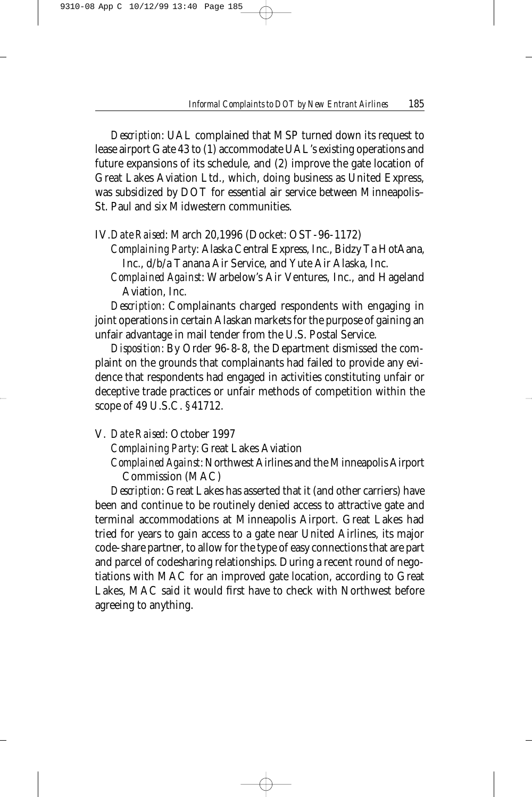*Description*: UAL complained that MSP turned down its request to lease airport Gate 43 to (1) accommodate UAL's existing operations and future expansions of its schedule, and (2) improve the gate location of Great Lakes Aviation Ltd., which, doing business as United Express, was subsidized by DOT for essential air service between Minneapolis– St. Paul and six Midwestern communities.

#### IV.*Date Raised*: March 20,1996 (Docket: OST-96-1172)

*Complaining Party*: Alaska Central Express, Inc., Bidzy Ta HotAana, Inc., d/b/a Tanana Air Service, and Yute Air Alaska, Inc.

*Complained Against*: Warbelow's Air Ventures, Inc., and Hageland Aviation, Inc.

*Description*: Complainants charged respondents with engaging in joint operations in certain Alaskan markets for the purpose of gaining an unfair advantage in mail tender from the U.S. Postal Service.

*Disposition*: By Order 96-8-8, the Department dismissed the complaint on the grounds that complainants had failed to provide any evidence that respondents had engaged in activities constituting unfair or deceptive trade practices or unfair methods of competition within the scope of 49 U.S.C. §41712.

V. *Date Raised*: October 1997

*Complaining Party*: Great Lakes Aviation

*Complained Against*: Northwest Airlines and the Minneapolis Airport Commission (MAC)

*Description*: Great Lakes has asserted that it (and other carriers) have been and continue to be routinely denied access to attractive gate and terminal accommodations at Minneapolis Airport. Great Lakes had tried for years to gain access to a gate near United Airlines, its major code-share partner, to allow for the type of easy connections that are part and parcel of codesharing relationships. During a recent round of negotiations with MAC for an improved gate location, according to Great Lakes, MAC said it would first have to check with Northwest before agreeing to anything.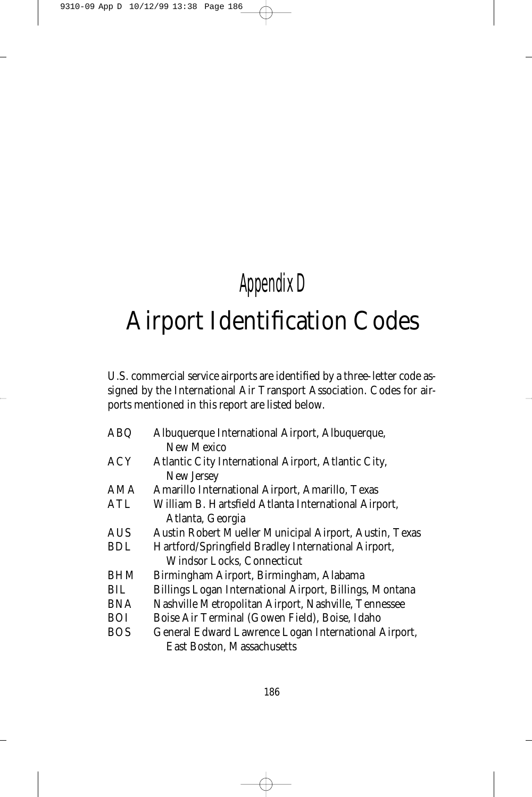# **Appendix D** Airport Identification Codes

U.S. commercial service airports are identified by a three-letter code assigned by the International Air Transport Association. Codes for airports mentioned in this report are listed below.

| <b>ABQ</b> | Albuquerque International Airport, Albuquerque,         |
|------------|---------------------------------------------------------|
|            | New Mexico                                              |
| <b>ACY</b> | Atlantic City International Airport, Atlantic City,     |
|            | <b>New Jersey</b>                                       |
| AMA        | Amarillo International Airport, Amarillo, Texas         |
| <b>ATL</b> | William B. Hartsfield Atlanta International Airport,    |
|            | Atlanta, Georgia                                        |
| <b>AUS</b> | Austin Robert Mueller Municipal Airport, Austin, Texas  |
| <b>BDL</b> | Hartford/Springfield Bradley International Airport,     |
|            | <b>Windsor Locks, Connecticut</b>                       |
| <b>BHM</b> | Birmingham Airport, Birmingham, Alabama                 |
| <b>BIL</b> | Billings Logan International Airport, Billings, Montana |
| <b>BNA</b> | Nashville Metropolitan Airport, Nashville, Tennessee    |
| <b>BOI</b> | Boise Air Terminal (Gowen Field), Boise, Idaho          |
| <b>BOS</b> | General Edward Lawrence Logan International Airport,    |
|            | <b>East Boston, Massachusetts</b>                       |

186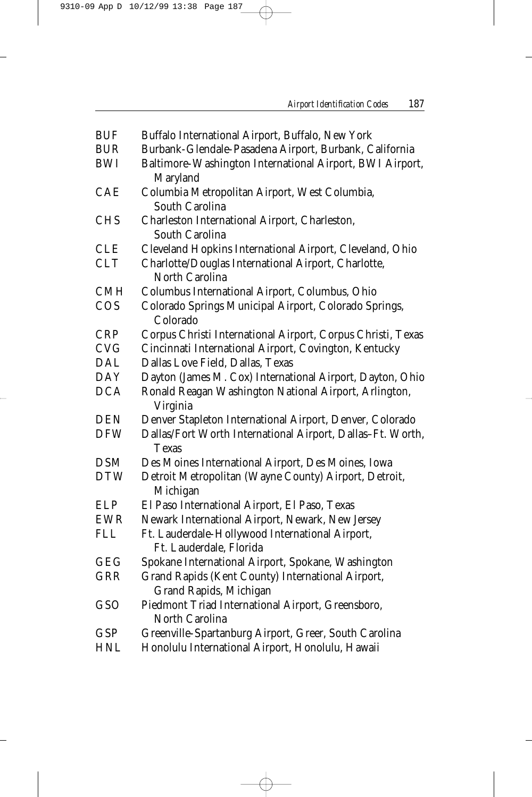| <b>BUF</b> | Buffalo International Airport, Buffalo, New York                             |
|------------|------------------------------------------------------------------------------|
| <b>BUR</b> | Burbank-Glendale-Pasadena Airport, Burbank, California                       |
| <b>BWI</b> | Baltimore-Washington International Airport, BWI Airport,<br>Maryland         |
| <b>CAE</b> | Columbia Metropolitan Airport, West Columbia,<br><b>South Carolina</b>       |
| <b>CHS</b> | Charleston International Airport, Charleston,<br>South Carolina              |
| <b>CLE</b> | Cleveland Hopkins International Airport, Cleveland, Ohio                     |
| <b>CLT</b> | Charlotte/Douglas International Airport, Charlotte,<br><b>North Carolina</b> |
| <b>CMH</b> | Columbus International Airport, Columbus, Ohio                               |
| COS        | Colorado Springs Municipal Airport, Colorado Springs,<br>Colorado            |
| <b>CRP</b> | Corpus Christi International Airport, Corpus Christi, Texas                  |
| <b>CVG</b> | Cincinnati International Airport, Covington, Kentucky                        |
| <b>DAL</b> | Dallas Love Field, Dallas, Texas                                             |
| <b>DAY</b> | Dayton (James M. Cox) International Airport, Dayton, Ohio                    |
| <b>DCA</b> | Ronald Reagan Washington National Airport, Arlington,<br>Virginia            |
| <b>DEN</b> | Denver Stapleton International Airport, Denver, Colorado                     |
| <b>DFW</b> | Dallas/Fort Worth International Airport, Dallas-Ft. Worth,<br>Texas          |
| <b>DSM</b> | Des Moines International Airport, Des Moines, Iowa                           |
| <b>DTW</b> | Detroit Metropolitan (Wayne County) Airport, Detroit,<br>Michigan            |
| <b>ELP</b> | El Paso International Airport, El Paso, Texas                                |
| <b>EWR</b> | Newark International Airport, Newark, New Jersey                             |
| <b>FLL</b> | Ft. Lauderdale-Hollywood International Airport,<br>Ft. Lauderdale, Florida   |
| <b>GEG</b> | Spokane International Airport, Spokane, Washington                           |
| <b>GRR</b> | Grand Rapids (Kent County) International Airport,<br>Grand Rapids, Michigan  |
| GSO        | Piedmont Triad International Airport, Greensboro,<br>North Carolina          |
| <b>GSP</b> | Greenville-Spartanburg Airport, Greer, South Carolina                        |
| <b>HNL</b> | Honolulu International Airport, Honolulu, Hawaii                             |

Æ

 $\bigoplus$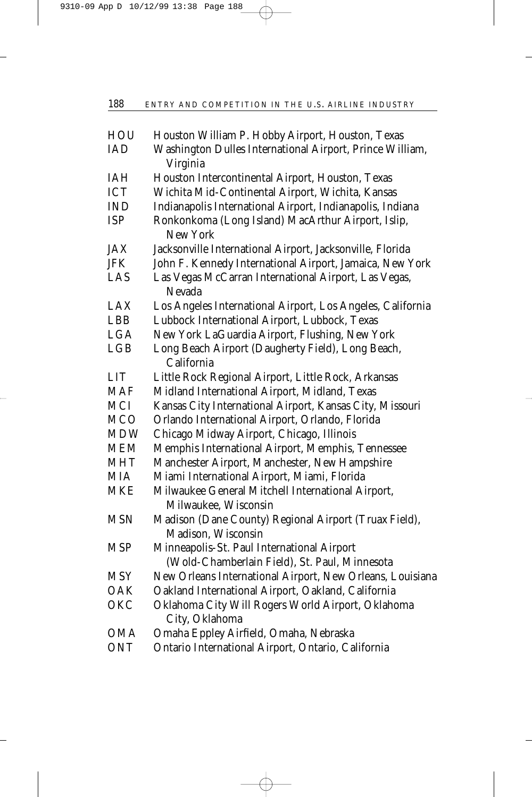- HOU Houston William P. Hobby Airport, Houston, Texas
- IAD Washington Dulles International Airport, Prince William, Virginia
- IAH Houston Intercontinental Airport, Houston, Texas
- ICT Wichita Mid-Continental Airport, Wichita, Kansas
- IND Indianapolis International Airport, Indianapolis, Indiana
- ISP Ronkonkoma (Long Island) MacArthur Airport, Islip, New York
- JAX Jacksonville International Airport, Jacksonville, Florida
- JFK John F. Kennedy International Airport, Jamaica, New York
- LAS Las Vegas McCarran International Airport, Las Vegas, Nevada
- LAX Los Angeles International Airport, Los Angeles, California
- LBB Lubbock International Airport, Lubbock, Texas
- LGA New York LaGuardia Airport, Flushing, New York
- LGB Long Beach Airport (Daugherty Field), Long Beach, California
- LIT Little Rock Regional Airport, Little Rock, Arkansas
- MAF Midland International Airport, Midland, Texas
- MCI Kansas City International Airport, Kansas City, Missouri
- MCO Orlando International Airport, Orlando, Florida
- MDW Chicago Midway Airport, Chicago, Illinois
- MEM Memphis International Airport, Memphis, Tennessee
- MHT Manchester Airport, Manchester, New Hampshire
- MIA Miami International Airport, Miami, Florida
- MKE Milwaukee General Mitchell International Airport, Milwaukee, Wisconsin
- MSN Madison (Dane County) Regional Airport (Truax Field), Madison, Wisconsin
- MSP Minneapolis-St. Paul International Airport (Wold-Chamberlain Field), St. Paul, Minnesota
- MSY New Orleans International Airport, New Orleans, Louisiana
- OAK Oakland International Airport, Oakland, California
- OKC Oklahoma City Will Rogers World Airport, Oklahoma City, Oklahoma
- OMA Omaha Eppley Airfield, Omaha, Nebraska
- ONT Ontario International Airport, Ontario, California